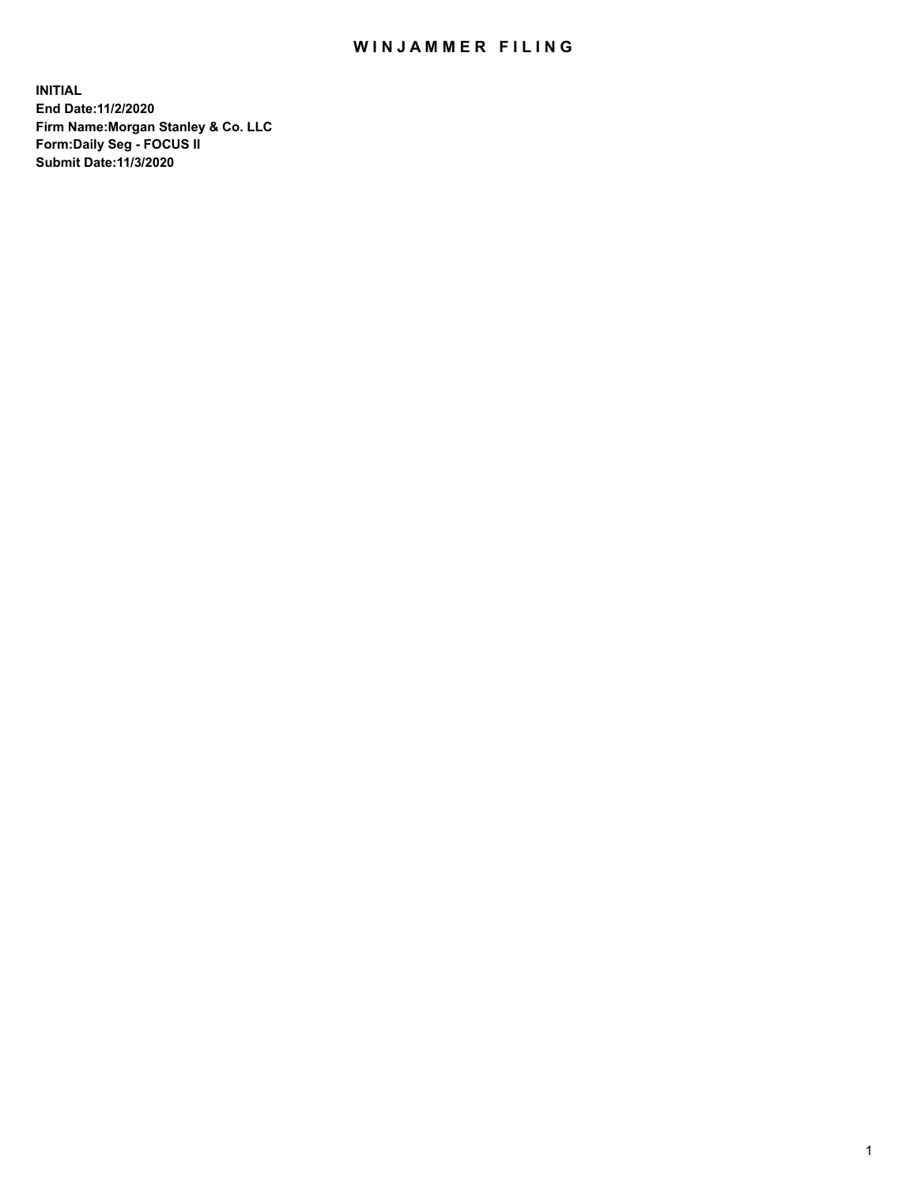## WIN JAMMER FILING

**INITIAL End Date:11/2/2020 Firm Name:Morgan Stanley & Co. LLC Form:Daily Seg - FOCUS II Submit Date:11/3/2020**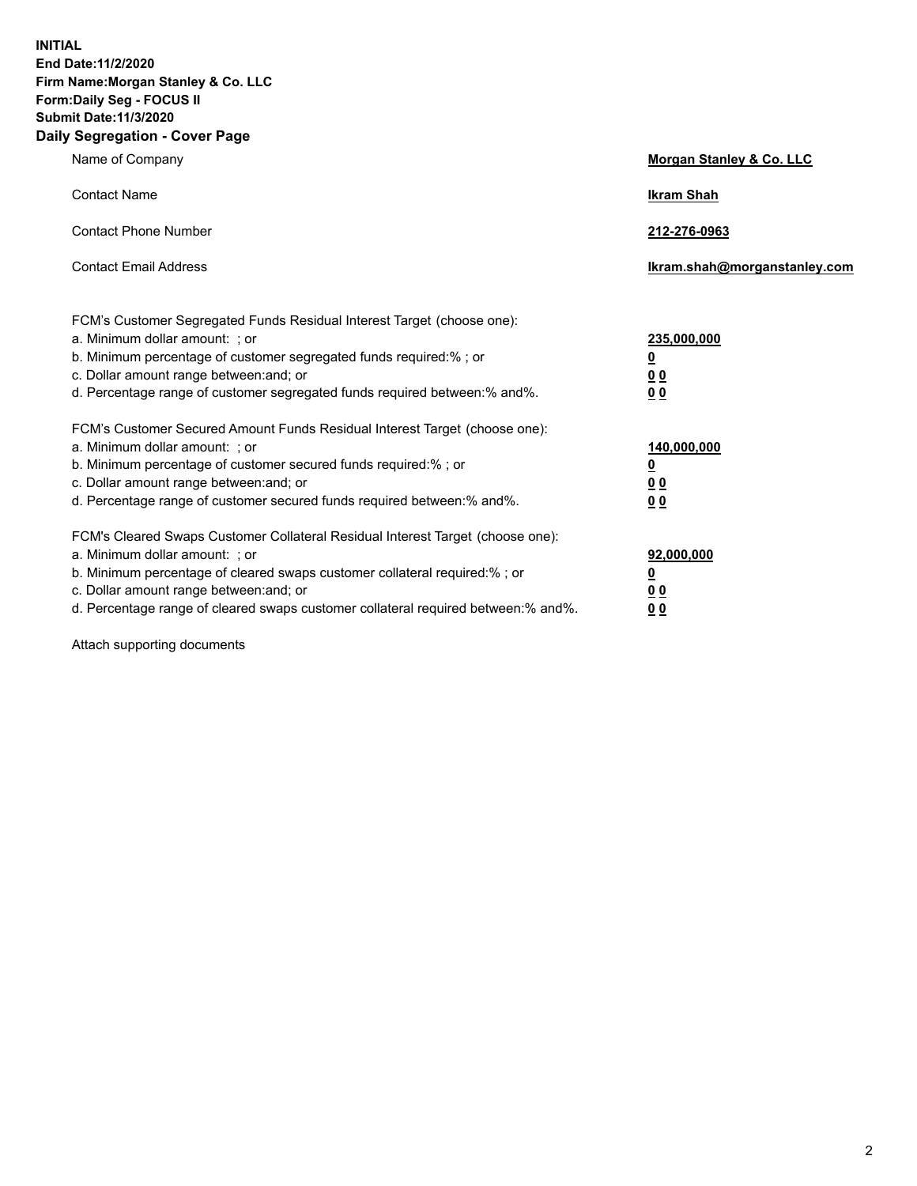**INITIAL End Date:11/2/2020 Firm Name:Morgan Stanley & Co. LLC Form:Daily Seg - FOCUS II Submit Date:11/3/2020 Daily Segregation - Cover Page**

| Name of Company                                                                                                                                                                                                                                                                                                                | <b>Morgan Stanley &amp; Co. LLC</b>                     |
|--------------------------------------------------------------------------------------------------------------------------------------------------------------------------------------------------------------------------------------------------------------------------------------------------------------------------------|---------------------------------------------------------|
| <b>Contact Name</b>                                                                                                                                                                                                                                                                                                            | <b>Ikram Shah</b>                                       |
| <b>Contact Phone Number</b>                                                                                                                                                                                                                                                                                                    | 212-276-0963                                            |
| <b>Contact Email Address</b>                                                                                                                                                                                                                                                                                                   | Ikram.shah@morganstanley.com                            |
| FCM's Customer Segregated Funds Residual Interest Target (choose one):<br>a. Minimum dollar amount: ; or<br>b. Minimum percentage of customer segregated funds required:% ; or<br>c. Dollar amount range between: and; or                                                                                                      | 235,000,000<br><u>0</u><br><u>00</u>                    |
| d. Percentage range of customer segregated funds required between:% and%.<br>FCM's Customer Secured Amount Funds Residual Interest Target (choose one):                                                                                                                                                                        | 0 <sup>0</sup>                                          |
| a. Minimum dollar amount: ; or<br>b. Minimum percentage of customer secured funds required:%; or<br>c. Dollar amount range between: and; or<br>d. Percentage range of customer secured funds required between: % and %.                                                                                                        | 140,000,000<br><u>0</u><br><u>0 0</u><br>0 <sub>0</sub> |
| FCM's Cleared Swaps Customer Collateral Residual Interest Target (choose one):<br>a. Minimum dollar amount: ; or<br>b. Minimum percentage of cleared swaps customer collateral required:% ; or<br>c. Dollar amount range between: and; or<br>d. Percentage range of cleared swaps customer collateral required between:% and%. | 92,000,000<br><u>0</u><br>0 Q<br>0 <sub>0</sub>         |

Attach supporting documents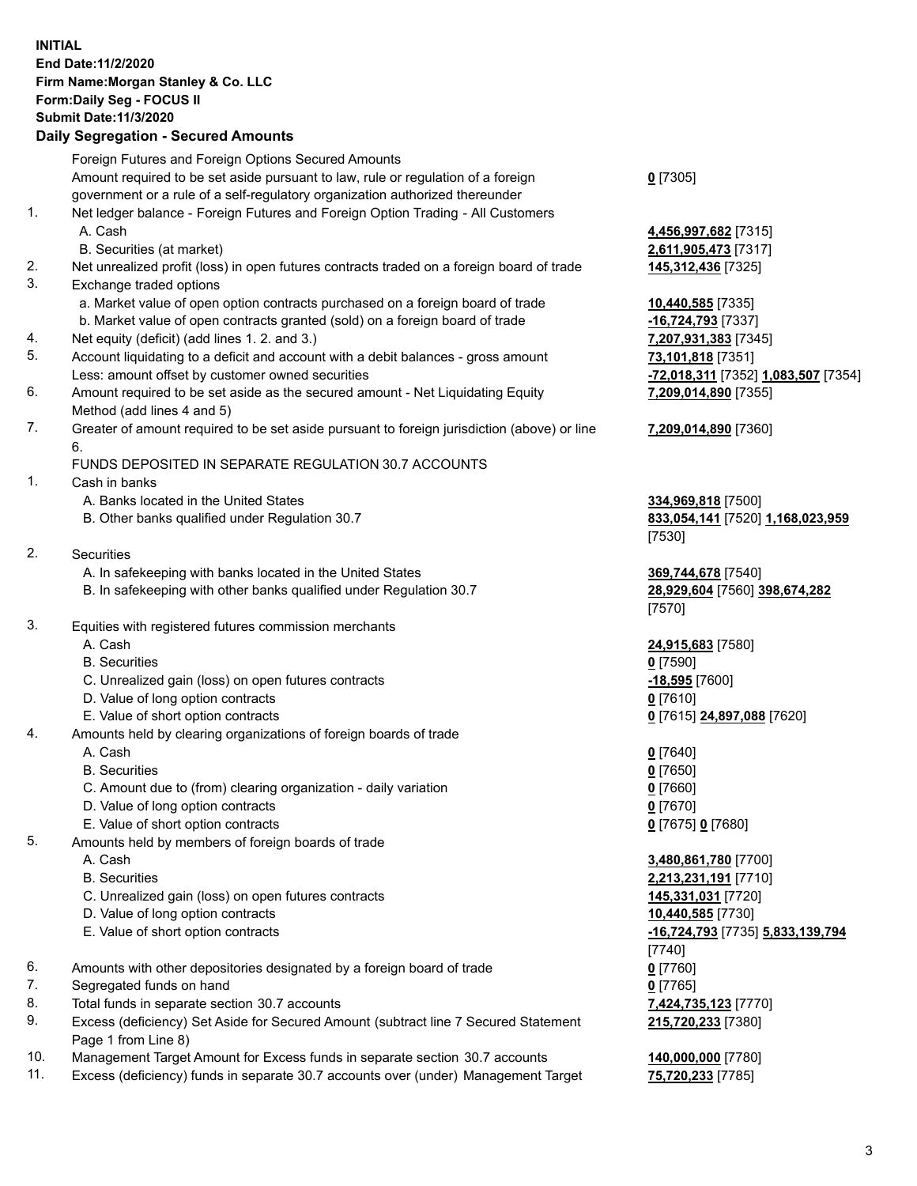## **INITIAL End Date:11/2/2020 Firm Name:Morgan Stanley & Co. LLC Form:Daily Seg - FOCUS II Submit Date:11/3/2020**

## **Daily Segregation - Secured Amounts**

Foreign Futures and Foreign Options Secured Amounts Amount required to be set aside pursuant to law, rule or regulation of a foreign government or a rule of a self-regulatory organization authorized thereunder 1. Net ledger balance - Foreign Futures and Foreign Option Trading - All Customers A. Cash **4,456,997,682** [7315] B. Securities (at market) **2,611,905,473** [7317] 2. Net unrealized profit (loss) in open futures contracts traded on a foreign board of trade **145,312,436** [7325] 3. Exchange traded options a. Market value of open option contracts purchased on a foreign board of trade **10,440,585** [7335] b. Market value of open contracts granted (sold) on a foreign board of trade **-16,724,793** [7337] 4. Net equity (deficit) (add lines 1. 2. and 3.) **7,207,931,383** [7345] 5. Account liquidating to a deficit and account with a debit balances - gross amount **73,101,818** [7351] Less: amount offset by customer owned securities **-72,018,311** [7352] **1,083,507** [7354] 6. Amount required to be set aside as the secured amount - Net Liquidating Equity Method (add lines 4 and 5) 7. Greater of amount required to be set aside pursuant to foreign jurisdiction (above) or line 6. FUNDS DEPOSITED IN SEPARATE REGULATION 30.7 ACCOUNTS 1. Cash in banks A. Banks located in the United States **334,969,818** [7500] B. Other banks qualified under Regulation 30.7 **833,054,141** [7520] **1,168,023,959** 2. Securities A. In safekeeping with banks located in the United States **369,744,678** [7540] B. In safekeeping with other banks qualified under Regulation 30.7 **28,929,604** [7560] **398,674,282** 3. Equities with registered futures commission merchants A. Cash **24,915,683** [7580] B. Securities **0** [7590] C. Unrealized gain (loss) on open futures contracts **-18,595** [7600] D. Value of long option contracts **0** [7610] E. Value of short option contracts **0** [7615] **24,897,088** [7620] 4. Amounts held by clearing organizations of foreign boards of trade A. Cash **0** [7640] B. Securities **0** [7650] C. Amount due to (from) clearing organization - daily variation **0** [7660] D. Value of long option contracts **0** [7670] E. Value of short option contracts **0** [7675] **0** [7680] 5. Amounts held by members of foreign boards of trade A. Cash **3,480,861,780** [7700] B. Securities **2,213,231,191** [7710] C. Unrealized gain (loss) on open futures contracts **145,331,031** [7720] D. Value of long option contracts **10,440,585** [7730] E. Value of short option contracts **-16,724,793** [7735] **5,833,139,794** 6. Amounts with other depositories designated by a foreign board of trade **0** [7760] 7. Segregated funds on hand **0** [7765] 8. Total funds in separate section 30.7 accounts **7,424,735,123** [7770]

- 9. Excess (deficiency) Set Aside for Secured Amount (subtract line 7 Secured Statement Page 1 from Line 8)
- 10. Management Target Amount for Excess funds in separate section 30.7 accounts **140,000,000** [7780]
- 11. Excess (deficiency) funds in separate 30.7 accounts over (under) Management Target **75,720,233** [7785]

**0** [7305]

**7,209,014,890** [7355]

## **7,209,014,890** [7360]

[7530]

[7570]

[7740] **215,720,233** [7380]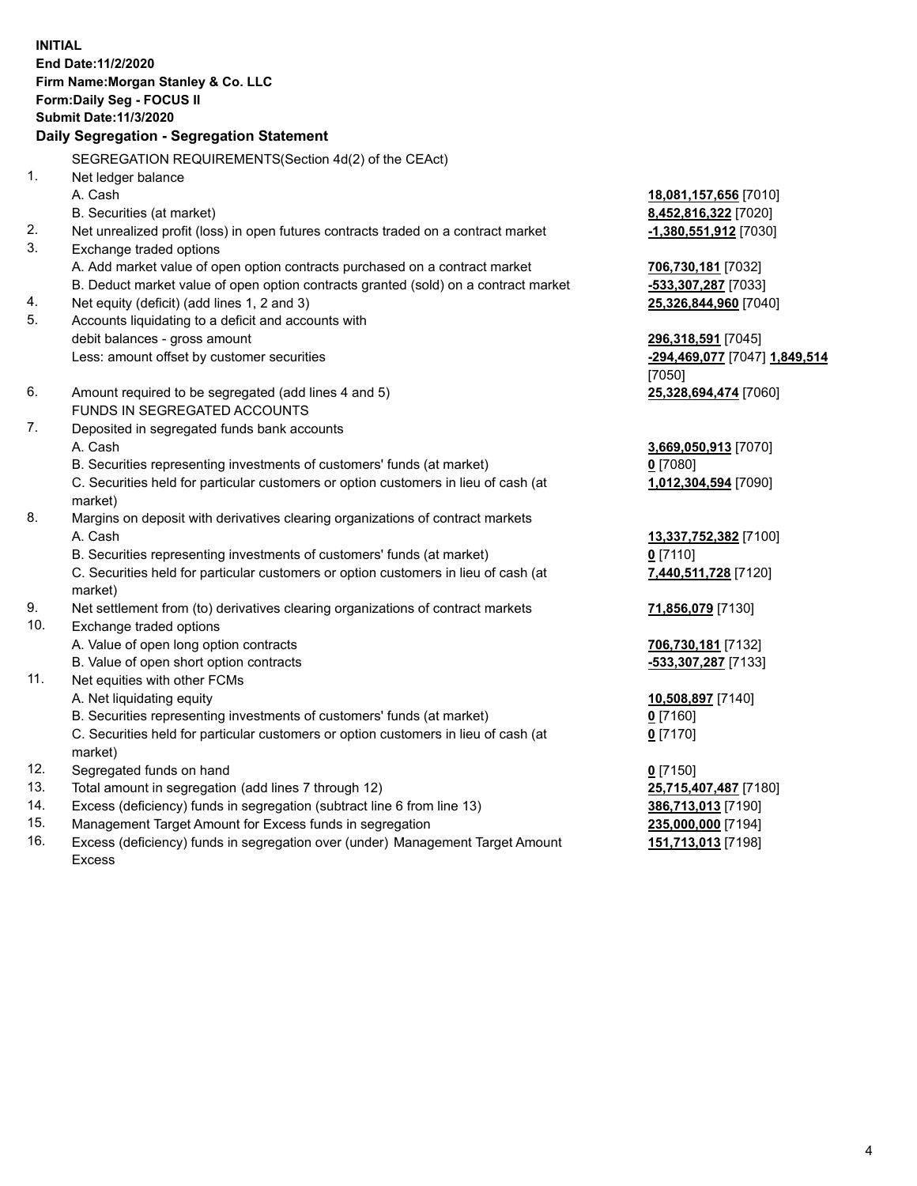**INITIAL End Date:11/2/2020 Firm Name:Morgan Stanley & Co. LLC Form:Daily Seg - FOCUS II Submit Date:11/3/2020 Daily Segregation - Segregation Statement** SEGREGATION REQUIREMENTS(Section 4d(2) of the CEAct) 1. Net ledger balance A. Cash **18,081,157,656** [7010] B. Securities (at market) **8,452,816,322** [7020] 2. Net unrealized profit (loss) in open futures contracts traded on a contract market **-1,380,551,912** [7030] 3. Exchange traded options A. Add market value of open option contracts purchased on a contract market **706,730,181** [7032] B. Deduct market value of open option contracts granted (sold) on a contract market **-533,307,287** [7033] 4. Net equity (deficit) (add lines 1, 2 and 3) **25,326,844,960** [7040] 5. Accounts liquidating to a deficit and accounts with debit balances - gross amount **296,318,591** [7045] Less: amount offset by customer securities **-294,469,077** [7047] **1,849,514** [7050] 6. Amount required to be segregated (add lines 4 and 5) **25,328,694,474** [7060] FUNDS IN SEGREGATED ACCOUNTS 7. Deposited in segregated funds bank accounts A. Cash **3,669,050,913** [7070] B. Securities representing investments of customers' funds (at market) **0** [7080] C. Securities held for particular customers or option customers in lieu of cash (at market) **1,012,304,594** [7090] 8. Margins on deposit with derivatives clearing organizations of contract markets A. Cash **13,337,752,382** [7100] B. Securities representing investments of customers' funds (at market) **0** [7110] C. Securities held for particular customers or option customers in lieu of cash (at market) **7,440,511,728** [7120] 9. Net settlement from (to) derivatives clearing organizations of contract markets **71,856,079** [7130] 10. Exchange traded options A. Value of open long option contracts **706,730,181** [7132] B. Value of open short option contracts **-533,307,287** [7133] 11. Net equities with other FCMs A. Net liquidating equity **10,508,897** [7140] B. Securities representing investments of customers' funds (at market) **0** [7160] C. Securities held for particular customers or option customers in lieu of cash (at market) **0** [7170] 12. Segregated funds on hand **0** [7150] 13. Total amount in segregation (add lines 7 through 12) **25,715,407,487** [7180] 14. Excess (deficiency) funds in segregation (subtract line 6 from line 13) **386,713,013** [7190] 15. Management Target Amount for Excess funds in segregation **235,000,000** [7194]

16. Excess (deficiency) funds in segregation over (under) Management Target Amount Excess

**151,713,013** [7198]